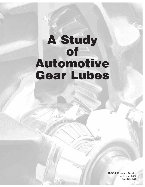# **A Study of Automotive Gear Lubes**

AMSOIL Drivetrain Division September 2007 AMSOIL INC.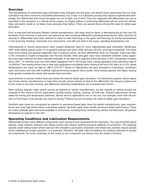## **Overview**

The requirements for automotive gear lubrication have changed over the years, yet vehicle owner awareness has not. Gear lubrication has been commonly considered elementary, but, in fact, it is a dynamic process that requires sophisticated technology. The differentials that house the gears are out of sight, out of mind. They are neglected. But differentials are just as important to the operation of a vehicle as the engine. An engine without a functioning differential will not move the vehicle. Gear lubrication needs to be taken more seriously than before. There are several forces driving the need for better gear lubrication.

First, is improved fuel economy. Modern vehicle aerodynamics, with lower level air dams, is decreasing the air flow over differentials. Fuel economy is improved, but reduced air flow increases differential operating temperatures. Also, lubricant fill volumes in differentials have been reduced in order to lower fluid drag on the gears and bearings for further improvement in fuel economy. However, lubricants cool components, and with less fluid in the sump, operating temperatures rise.

Improvements in vehicle performance have created additional need for more sophisticated gear lubrication. Model-year 2007 turbo diesel pickup trucks, V-10 gasoline pickups and sport utility vehicles (SUVs), and high-horsepower V-8 trucks have more towing and payload capacities than in previous years, yet their differentials have not changed. There has been a 34% increase in engine horsepower over the last decade, while axle gear sizes have remained constant, sump capacities have been lowered and drain intervals extended. In the light truck segment there has been a 93% horsepower increase since 1981.<sup>1</sup> In vehicles such as a fifth-wheel equipped Ford F-350 Super Duty, towing capacities have reached a high of 19,200 lbs.<sup>2</sup> And testing shows that in new axle applications simulating trailer towing at 88 km/h (55 mph) at a 3.5% grade temperatures can reach as high as 188°C (370°F).<sup>3</sup> Stress on differentials has also increased in limousines, conversion vans, and trucks and cars with modified, high-performance engines. More power, more towing capacity and higher hauling limits greatly increase the stress that causes heat and wear.

Improvements in vehicle comfort have also driven the need for better gear lubrication. The demand for greater interior space has forced vehicle manufacturers to lower floor boards, which restricts air flow to the differential. Hot exhaust systems are forced closer to the axle housing, and differential operating temperatures are increased even further.

Most vehicles operate under severe service as defined by vehicle manufacturers, but the majority of vehicle owners are unaware of this. Severe service applications include towing, hauling, plowing, off-road use, frequent stop-and-go driving, steep-hill driving and temperature extremes. Severe service applications are on the rise. For example, more than 90 percent of Ford Super Duty pickups are used for towing.<sup>4</sup> Severe service increases the need for better gear lubrication.

Synthetic gear lubes are recognized as superior to petroleum-based gear lubes by vehicle manufacturers, gear manufacturers and most high-performance automotive experts. Synthetic gear lubes exhibit all-around better performance. There are many synthetic gear lubricants available to consumers, including those marketed by vehicle manufacturers. All position themselves as superior to the rest.

## **Operating Conditions and Lubrication Requirements**

Differentials contain many different components, each having its own requirements for lubrication.The ring and pinion gears operate under extreme pressure and sliding contact that require extreme-pressure additives for protection. The bearings operate under rolling motion where lubricant film strength is particularly important, and limited-slip clutches require special friction additives for proper operation. It is essential, therefore, that gear lube formulations be carefully balanced to protect all components. Too much emphasis on the needs of one component can detract from the needs of another.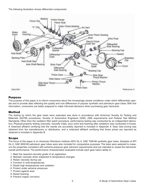The following illustration shows differential components:



## **Purpose**

The purpose of this paper is to inform consumers about the increasingly severe conditions under which differentials operate and to provide data reflecting the quality and cost differences of popular synthetic and petroleum gear lubes. With this information, consumers are better prepared to make informed decisions when purchasing gear lubricants.

#### **Method**

The testing by which the gear lubes were evaluated was done in accordance with American Society for Testing and Materials (ASTM) procedures, Society of Automotive Engineers (SAE) J306 requirements and Federal Test Method Standards. Other than the oxidation filter patch procedure, performance testing was conducted by an independent laboratory. Physical-property testing (viscosity, viscosity index, pour point and foaming after oxidation) was conducted in-house. A notarized affidavit certifying that the results are accurately reported is included in Appendix A. Gear lube pricing was obtained from the manufacturers or distributors, and a notarized affidavit certifying that those prices are reported as obtained is included in Appendix B.

## **Scope**

The focus of this paper is on American Petroleum Institute (API) GL-5, SAE 75W-90 synthetic gear lubes. Samples of API GL-5, SAE 80W-90 petroleum gear lubes were also included for comparative purposes. The tests were selected to measure the properties consistent with extreme-pressure gear lubricant requirements and are intended to reveal the lubricants' overall performance. The performance characteristics evaluated include each gear lube's ability to:

- 1. Meet the required viscosity grade of an application
- 2. Maintain viscosity when subjected to temperature changes
- 3. Retain viscosity during use
- 4. Function in cold temperatures
- 5. Resist high temperatures and oxidation
- 6. Protect under extreme pressures
- 7. Protect against wear
- 8. Resist foaming
- 9. Prevent copper corrosion.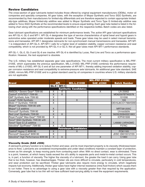## **Review Candidates**

The cross-section of gear lubricants tested includes those offered by original equipment manufacturers (OEMs), motor oil companies and specialty companies. All gear lubes, with the exception of Mopar Synthetic and Torco SGO Synthetic, are recommended by their manufacturers for limited-slip differentials and are therefore expected to contain appropriate limitedslip-type additives. Mopar limited-slip additive was added to Mopar Synthetic and Torco Type G limited-slip additive was added to Torco SGO Synthetic at the recommended levels to ensure equal testing. Each gear lube tested is listed in the following chart along with the performance specifications identified on the respective bottles. Batch codes are also listed.

Gear lubricant specifications are established for minimum performance levels. The *active* API gear lubricant specifications are API GL-4, GL-5 and MT-1. API GL-4 designates the type of service characteristics of spiral bevel and hypoid gears in automotive axles operated under moderate speeds and loads. These gear lubes may be used in select manual transmissions and transaxles. API MT-1 designates lubricants for non-synchromesh manual transmissions and transaxles. API MT-1 is independent of API GL-5. API MT-1 calls for a higher level of oxidation stability, copper corrosion resistance and seal compatibility, which is not provided by API GL-4 or GL-5. Not all gear lubes meet API MT-1 performance standards.

API GL-1, GL-2, GL-3 and GL-6 are inactive. API GL-6 is identified by Lucas, Red Line and Torco as a performance specification. However, the test equipment is obsolete.

The U.S. military has established separate gear lube specifications. The most current military specification is MIL-PRF-2105E, which supersedes the previous specification, MIL-L-2105D. MIL-PRF-2105E combines the performance requirements of MIL-L-2105D, API GL-5 and all but one parameter of API MT-1, thereby adding improved oxidation stability, copper corrosion resistance and seal compatibility to extreme-pressure axle lubricants. An additional gear lube standard, SAE J2360, mirrors MIL-PRF-2105E and is a global standard used by oil companies in countries where U.S. military standards are not applicable.

|                                                          |        |                           |                    | <b>MIL-PRF-2105E/</b> |                     |  |  |  |  |  |  |  |  |
|----------------------------------------------------------|--------|---------------------------|--------------------|-----------------------|---------------------|--|--|--|--|--|--|--|--|
| <b>Brand</b>                                             |        | <b>API</b>                | <b>MIL-L-2105D</b> | <b>SAE J2360</b>      | <b>Batch Number</b> |  |  |  |  |  |  |  |  |
|                                                          | $GL-5$ | <b>MT-1</b>               |                    |                       |                     |  |  |  |  |  |  |  |  |
| <b>Synthetic Candidates</b>                              |        |                           |                    |                       |                     |  |  |  |  |  |  |  |  |
| <b>AMSOIL<sup>®</sup> Severe Gear<sup>®</sup> 75W-90</b> | X      | х                         |                    | X                     | LN 25902            |  |  |  |  |  |  |  |  |
| Castrol® SYNTEC® 75W-90                                  | X      | $\boldsymbol{\mathsf{X}}$ |                    |                       | MD62597BTW2578      |  |  |  |  |  |  |  |  |
| GM <sup>®</sup> Synthetic Axle 75W-90                    | Χ      |                           |                    |                       | 101006              |  |  |  |  |  |  |  |  |
| Lucas <sup>®</sup> 75/90 Synthetic                       | X      |                           | X                  |                       | 193                 |  |  |  |  |  |  |  |  |
| Mobil 1 <sup>®</sup> Synthetic 75W-90                    | X      |                           |                    |                       | OEV5J6CO1788#5990   |  |  |  |  |  |  |  |  |
| Mopar <sup>®</sup> Synthetic 75W-90 with                 |        |                           |                    |                       |                     |  |  |  |  |  |  |  |  |
| Mopar <sup>®</sup> LS additive                           | X      |                           |                    |                       | MRT081205C          |  |  |  |  |  |  |  |  |
| Pennzoil <sup>®</sup> Synthetic 75W-90                   | X      |                           |                    |                       | Unreadable          |  |  |  |  |  |  |  |  |
| Red Line <sup>®</sup> Synthetic 75W-90                   | X      | X                         |                    | X                     | 56292/60840001663   |  |  |  |  |  |  |  |  |
| Royal Purple <sup>®</sup> Max-Gear <sup>®</sup> 75W-90   | X      |                           |                    | X                     | <b>ICPH01606</b>    |  |  |  |  |  |  |  |  |
| Torco <sup>®</sup> SGO Synthetic 75W-90 with             |        |                           |                    |                       |                     |  |  |  |  |  |  |  |  |
| Torco <sup>®</sup> Type G LS additive                    | Χ      |                           |                    |                       | L46680 LNRAGMO      |  |  |  |  |  |  |  |  |
| Valvoline <sup>®</sup> SynPower <sup>®</sup> 75W-90      | X      | X                         |                    | X                     | F076C               |  |  |  |  |  |  |  |  |
| <b>Petroleum Candidates</b>                              |        |                           |                    |                       |                     |  |  |  |  |  |  |  |  |
| Castrol® Hypoy C 80W-90                                  | X      |                           |                    |                       | PO61165             |  |  |  |  |  |  |  |  |
| Pennzoil <sup>®</sup> Gearplus <sup>®</sup> 80W-90       | X      |                           |                    |                       | JDSC 26615512155    |  |  |  |  |  |  |  |  |
| Valvoline® High Performance 80W-90                       | X      | X                         |                    | X                     | C <sub>1860</sub>   |  |  |  |  |  |  |  |  |

#### **Viscosity Grade (SAE J306)**

A lubricant's primary function is to reduce friction and wear, and its most important property is its viscosity (thickness/resistance to flow). Lubricants are considered incompressible and under ideal conditions maintain a constant layer of protection, known as fim strength, to keep moving parts from contacting each other. With no direct contact, wear is eliminated. There is a point, however, at which heavy loads exceed the oil's ability to separate parts and metal-to-metal contact occurs. This is, in part, a function of viscosity. The higher the viscosity of a lubricant, the greater the load it can carry. Using gear lube that is too thick, however, has disadvantages. Thicker oils are more difficult to circulate, particularly in cold temperatures, and wear protection can be sacrificed. Thicker gear lubricants also require more energy to circulate, which negatively impacts fuel economy. Additionally, thicker gear lubes have higher internal resistance (intra-fluid friction) which causes them to run hotter. There is no advantage to using a gear lube with a viscosity greater than that required by the application. Conversely, gear lube that is too thin will not have sufficient load-carrying ability to meet the equipment requirements.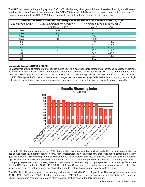The SAE has developed a grading system, SAE J306, which categorizes gear lubricants based on their high- and low-temperature viscosities. An additional requirement of SAE J306 is shear stability, which is explained later in this document. The viscosity requirements for SAE 75W-90 gear lubricants are highlighted in green in the following chart.

|                            | Automotive Gear Lubricant Viscosity Classifications - SAE J306 - June 14, 2005 |       |                                                            |
|----------------------------|--------------------------------------------------------------------------------|-------|------------------------------------------------------------|
| <b>SAE Viscosity Grade</b> | Max. Temperature for Viscosity of                                              |       | Kinematic Viscosity at 100 $\mathrm{C}$ (cSt) <sup>3</sup> |
|                            | 150,000 cP $(^{\circ}C)^{1,2}$                                                 | Min.4 | Max.                                                       |
| 70W                        | $-55^{5}$                                                                      | 4.1   |                                                            |
| <b>75W</b>                 | $-40$                                                                          | 4.1   |                                                            |
| 80W                        | -26                                                                            | 7.0   |                                                            |
| 85W                        | $-12$                                                                          | 110   |                                                            |
| 80                         |                                                                                | 7.0   | < 11.0                                                     |
| 85                         |                                                                                | 11.0  | < 13.5                                                     |
| 90                         |                                                                                | 13.5  | < 18.5                                                     |
| 110                        |                                                                                | 18.5  | < 24.0                                                     |
| 140                        |                                                                                | 24.0  | < 32.5                                                     |
| 190                        |                                                                                | 32.5  | $<$ 41.0                                                   |
| 250                        |                                                                                | 41.0  |                                                            |

#### **Viscosity Index (ASTM D-2270)**

Oil viscosity is affected by temperature changes during use. As a gear lubricant's temperature increases, its viscosity decreases, along with load-carrying ability. The degree of change that occurs is determined by ASTM D-2270 and referred to as the lubricant's viscosity index (VI). ASTM D-2270 examines the viscosity change that occurs between 40°C (104°F) and 100°C (212°F) . The higher the VI, the less the viscosity changes with temperature. A high VI is desirable and, in part, indicates higher lubricant quality. It does not, however, represent a lubricant's high-temperature viscosity or its load-carrying ability.



Similar to 5W-30 automotive engine oils, 75W-90 gear lubricants are defined as multi-viscosity. This means the gear lubricant has enough viscosity to protect against wear at high temperatures, as well as good flow properties at cold temperatures. Many gear lubes cannot fulfill both requirements without the use of VI improver additives. VI additives keep lubricants from becoming too thick to flow in cold temperatures and too thin to protect in high temperatures. VI additives have many uses. If used improperly in gear lubricants, however, they can break down and lose viscosity through a process called shearing. Because of this, the SAE incorporated the CEC L-45-A-99 (KRL) 20-Hour Shear Test as a requirement for all automotive gear lubes. This specification requires that gear lubes not shear down and fall below the minimum viscosity for that grade.

The KRL Test utilizes a tapered roller bearing and test cup filled with 40 ml. of gear lube. The test parameters are set at 60°C (140°F), 1475 rpm, 5000 N load for a duration of 1,740,000 motor revolutions (approximately 20 hours). Each gear lube's viscosity was recorded before and after the shear test as seen in the following graph.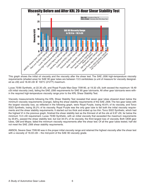

This graph shows the initial oil viscosity and the viscosity after the shear test. The SAE J306 high-temperature viscosity requirements (shaded area) for SAE 90 gear lubes are between 13.5 centistokes (a unit of measure for viscosity designated as cSt) and 18.49 cSt @ 100°C (212°F) maximum.

Lucas 75/90 Synthetic, at 22.35 cSt, and Royal Purple Max-Gear 75W-90, at 19.32 cSt, both exceed the maximum 18.49 cSt initial viscosity (red), failing the SAE J306 requirements for SAE 90 gear lubricants. All other gear lubricants were within the required high-temperature viscosity range prior to the KRL Shear Stability Test.

Viscosity measurements following the KRL Shear Stability Test revealed that seven gear lubes sheared down below the minimum viscosity requirements (orange), failing the shear stability requirements of the SAE J306. The two gear lubes with the largest viscosity loss, as reflected in the following graph, were Royal Purple, losing 40.6% of its viscosity, and Torco SGO Synthetic, losing 35.2% of its viscosity. Royal Purple was the only gear lube to fail both the initial viscosity requirements and the shear stability requirements. It started out too thick and ended up too thin. Torco SGO Synthetic, which had the highest VI in the previous graph, finished the shear stability test as the thinnest of all the oils at 9.97 cSt, far below the minimum 13.5 cSt requirement. Lucas 75/90 Synthetic, with an initial viscosity that exceeded the maximum requirements by 20.8%, passed the shear stability test, but lost 34.5% of its viscosity, the third largest loss of viscosity. Both OEM gear lubes, GM and Mopar, failed the minimum viscosity requirements after the shear test. Of all the gear lubes tested, half did not meet the SAE J306 shear stability requirements.

AMSOIL Severe Gear 75W-90 was in the proper initial viscosity range and retained the highest viscosity after the shear test with a viscosity of 16.03 cSt – the mid-point of the SAE 90 viscosity grade.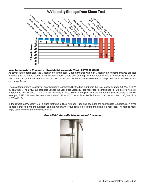

#### **Low-Temperature Viscosity - Brookfield Viscosity Test (ASTM D-2983)**

As temperature decreases, the viscosity of oil increases. Gear lubricants with high viscosity at cold temperatures are less efficient, and the gears require more energy to turn. Gears and bearings in the differential and axle housing are splashlubricated, and gear lubricants that are too thick at cold temperatures can starve internal components of lubrication, which can cause failure.

The cold-temperature viscosity of gear lubricants is indicated by the first number in the SAE viscosity grade (75W of a 75W-90 gear lube). The SAE J306 standard utilizes the Brookfield Viscosity Test, recorded in centipoises (cP), to determine coldtemperature performance. The maximum viscosity is 150,000 cP at the given temperature for the SAE viscosity grade. For example, SAE 75W must be less than 150,000 cP at -40°C (-40°F), while SAE 80W must be less than 150,000 cP at  $-26^{\circ}$ C ( $-15^{\circ}$ F).

In the Brookfield Viscosity Test, a glass test tube is filled with gear lube and cooled to the appropriate temperature. A small spindle is inserted into the lubricant and the maximum torque required to rotate the spindle is recorded. The torque reading is used to calculate the viscosity in cP.

#### **Brookfield Viscosity Measurement Example**

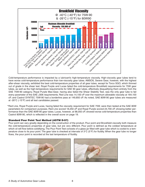

Cold-temperature performance is impacted by a lubricant's high-temperature viscosity. High-viscosity gear lubes tend to have worse cold-temperature performance than low-viscosity gear lubes. AMSOIL Severe Gear, however, with the highest after-shear viscosity, exhibited the best cold-temperature properties of all gear lubes, except for Torco SGO, which thinned out of grade in the shear test. Royal Purple and Lucas failed the cold-temperature Brookfield requirements for 75W gear lubes, as well as the high-temperature requirements for SAE 90 gear lubes, effectively disqualifying them entirely from the SAE 75W-90 category. Royal Purple Max-Gear, having also failed the Shear Stability Test, was the only gear lube to fail every parameter of the SAE J306 requirements. Red Line was 14,100 cP over the maximum allowable viscosity at 164,100 cP, and Castrol SYNTEC 75W-90 had a borderline pass at 149,850 cP. As noted, SAE 80W-90 gear lubes are measured at -26°C (-15°F) and all test candidates passed.

\*Red Line, Royal Purple and Lucas, having failed the viscosity requirement for SAE 75W, were then tested at the SAE 80W parameters for comparison purposes. Red Line scored 18,250 cP and Royal Purple scored 24,700 cP, showing better performance than the SAE 80W-90 gear lubes. Lucas, however, at 98,050 cP, showed worse cold-temperature properties than Castrol 80W-90, which is reflected in the overall score on page 19.

#### **Standard Pour Point Test Method (ASTM D-97)**

Pour point can vary greatly depending on the construction of the product. Pour point and Brookfield viscosity both measure the cold-temperature properties of gear lube, but are very different. Pour point is defined as the coldest temperature at which oil will flow before solidifying. The Pour Point Test consists of a glass jar filled with gear lube which is cooled to a temperature close to its pour point. The gear lube is checked at intervals of 3°C (5°F) for fluidity. When the gear lube no longer flows, the pour point is recorded at the last temperature of fluidity.

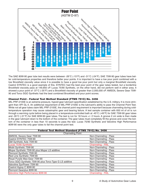

The SAE 80W-90 gear lube test results were between -26°C (-15°F) and -31°C (-24°F). SAE 75W-90 gear lubes have better cold-temperature properties and therefore better pour points. It is important to have a low pour point combined with a low Brookfield viscosity value since it is possible to have a good low pour point but only a marginal Brookfield viscosity. Castrol SYNTEC is a good example of this. SYNTEC had the best pour point of the gear lubes tested, but a borderline Brookfield viscosity pass at 149,850 cP. Lucas 75/90 Synthetic, on the other hand, did not perform well in either area. It showed a pour point of -37°C (-35°F) and a Brookfield viscosity of greater than 2,000,000 cP. AMSOIL Severe Gear 75W-90 and Torco SGO Synthetic had the best combined Brookfield and pour point scores.

#### **Channel Point - Federal Test Method Standard (FTMS 791C) No. 3456**

MIL-PRF-2105E is an extreme-pressure, hypoid gear lubricant specification established by the U.S. military. It is more stringent than API GL-5. An additional requirement of MIL-PRF-2105E is the lubricant's ability to pass the Channel Point Test. While not all gear lubes claim MIL-PRF-2105E, the channel point requirement is important because channeling during coldtemperature operation may cause catastrophic gear and bearing failure. A test sample container with 650 ml of oil is run through a warming cycle before being placed in a temperature-controlled bath at -45°C (-49°F) for SAE 75W-90 gear lubes and -35°C (-31°F) for SAE 80W-90 gear lubes. The test is run for 18 hours +/- 2 hours. A groove 2 cm wide is then made in the gear lubricant down to the bottom of the container. The gear lubes must completely fill the groove and cover the bottom of the container in less than 10 seconds to pass the test. Lucas 75/90 Synthetic and Valvoline High Performance 80W-90 were the only gear lubes to fail the channel point test.

| <b>Federal Test Method Standard (FTMS 791C) No. 3456</b> |                          |  |  |  |  |  |  |  |  |  |
|----------------------------------------------------------|--------------------------|--|--|--|--|--|--|--|--|--|
|                                                          |                          |  |  |  |  |  |  |  |  |  |
| <b>Channeling Point</b>                                  |                          |  |  |  |  |  |  |  |  |  |
| <b>AMSOIL Severe Gear 75W-90</b>                         | Non-Channeling - Pass    |  |  |  |  |  |  |  |  |  |
| Castrol SYNTEC 75W-90                                    | Non-Channeling - Pass    |  |  |  |  |  |  |  |  |  |
| GM Synthetic Axle 75W-90                                 | Non-Channeling - Pass    |  |  |  |  |  |  |  |  |  |
| Lucas 75/90 Synthetic                                    | Channeling - FAIL        |  |  |  |  |  |  |  |  |  |
| Mobil Synthetic 75W-90                                   | Non-Channeling - Pass    |  |  |  |  |  |  |  |  |  |
| Mopar Synthetic 75W-90 plus Mopar LS additive            | Non-Channeling - Pass    |  |  |  |  |  |  |  |  |  |
| Pennzoil Synthetic 75W-90                                | Non-Channeling - Pass    |  |  |  |  |  |  |  |  |  |
| Red Line Synthetic 75W-90                                | Non-Channeling - Pass    |  |  |  |  |  |  |  |  |  |
| Royal Purple Max-Gear 75W-90                             | Non-Channeling - Pass    |  |  |  |  |  |  |  |  |  |
| Torco SGO Synthetic 75W-90 plus Torco Type G LS additive | Non-Channeling - Pass    |  |  |  |  |  |  |  |  |  |
| Valvoline SynPower 75W-90                                | Non-Channeling - Pass    |  |  |  |  |  |  |  |  |  |
| Castrol Hypoy C 80W-90                                   | Non-Channeling - Pass    |  |  |  |  |  |  |  |  |  |
| Pennzoil Gearplus 80W-90                                 | Non-Channeling - Pass    |  |  |  |  |  |  |  |  |  |
| Valvoline High Performance 80W-90                        | <b>Channeling - FAIL</b> |  |  |  |  |  |  |  |  |  |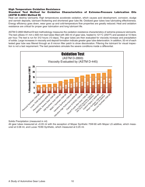#### **High Temperature Oxidation Resistance**

#### **Standard Test Method for Oxidation Characteristics of Extreme-Pressure Lubrication Oils (ASTM D-2893 Method B)**

Heat can destroy lubricants. High temperatures accelerate oxidation, which causes acid development, corrosion, sludge and varnish deposits, lubricant thickening and shortened gear lube life. Oxidized gear lubes lose lubricating effectiveness. Energy efficiency goes down, wear goes up and cold-temperature flow properties are greatly reduced. Heat and oxidation resistance are critical for proper gear lubrication and long lubricant life.

ASTM D-2893 Method B test methodology measures the oxidation-resistance characteristics of extreme-pressure lubricants. The test utilizes 41 mm x 600 mm test tubes filled with 300 ml of gear lube, heated to 121 $^{\circ}$ C (250 $^{\circ}$ F) and aerated at 10 liters per hour. The test is run for 312 hours (13 days). The gear lubes are then evaluated for viscosity increase and precipitation of solids. Large increases in viscosity and deposit formation indicate greater gear lube deterioration. In addition, 50 ml of each tested gear lube was filtered through an 8 micron filter patch to show discoloration. Filtering the lubricant for visual inspection is not a test requirement. The test parameters simulate the severe conditions inside a differential.



Solids Precipitation (measured in ml)

All gear lubes measured at <0.05 ml with the exception of Mopar Synthetic 75W-90 with Mopar LS additive, which measured at 0.08 ml, and Lucas 75/90 Synthetic, which measured at 0.25 ml.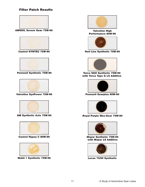## **Filter Patch Results**



**AMSOIL Severe Gear 75W-90**



**Castrol SYNTEC 75W-90**



**Pennzoil Synthetic 75W-90**



**Valvoline SynPower 75W-90**



**GM Synthetic Axle 75W-90**



**Castrol Hypoy C 80W-90**



**Mobil 1 Synthetic 75W-90**



**Valvoline High Performance 80W-90**



**Red Line Synthetic 75W-90**



**Torco SGO Synthetic 75W-90 with Torco Typs G LS Additive**



**Pennzoil Gearplus 80W-90**



**Royal Purple Max-Gear 75W-90**



**Mopar Synthetic 75W-90 with Mopar LS Additive**



**Lucas 75/90 Synthetic**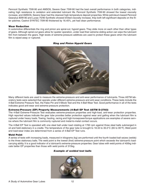Pennzoil Synthetic 75W-90 and AMSOIL Severe Gear 75W-90 had the best overall performance in both categories, indicating high resistance to oxidation and extended lubricant life. Pennzoil Synthetic 75W-90 showed the lowest viscosity increase, and AMSOIL Severe Gear had the cleanest high-temperature deposit properties. While petroleum-based Pennzoil Gearplus 80W-90 and Lucas 75/90 Synthetic showed limited viscosity increase, they both left significant deposits on the filter patches. Castrol SYNTEC 75W-90 thickened by 16.45%, yet had clean performance.

#### **Wear Reduction**

In automotive differentials the ring and pinion are spiral-cut, hypoid gears. They slide more on each other than other types of gears. Although spiral-cut gears allow for quieter operation, under load their extreme sliding action can wipe the lubricant film from between the gears. High levels of extreme-pressure additives are used to protect these gears when the lubricant film is wiped away or ruptured.



#### **Ring and Pinion Hypoid Gears**

Many different tests are used to measure the extreme-pressure and anti-wear performance of lubricants. Three ASTM laboratory tests were selected that operate under different extreme-pressure and anti-wear conditions. These tests include the 4-Ball Extreme Pressure Test, the Falex Pin and V-Block Test and the 4-Ball Wear Test. Good performance in all of the tests indicates good anti-wear and extreme-pressure protection.

#### **Extreme-Pressure (EP) Property Measurements (4-Ball EP Test ASTM D-2783)**

The 4-Ball Extreme-Pressure Test evaluates extreme-pressure properties and high-load, anti-wear protection properties. High reported values indicate the gear lube provides better protection against wear and galling when the lubricant film is ruptured under heavy loads. Towing, hauling, racing and high-horsepower/torque applications are examples of severe service where the lubricant film is commonly ruptured and metal-to-metal contact occurs.

The 4-Ball EP Test is operated with one steel ball under load rotating at 1760 rpm against three steel balls submerged in oil and held stationary in a cradle. The temperature of the gear lube is brought to 18.33 to 35.0°C (65 to 95°F). Weld point and load-wear index are determined from a series of 4-Ball EP Test runs.

#### **Weld Point**

A series of tests with increasing loads, measured in kilograms (kg) are performed until the fourth loaded ball seizes (welds) to the three stationary balls. The weld point is the lowest (first) extreme-pressure point which exceeds the lubricant's loadcarrying ability. It is a good indicator of a lubricant's extreme-pressure properties. Gear lubes with weld points of 400kg indicate better EP properties than those with weld points of 315kg.

#### **Example of welded test balls**

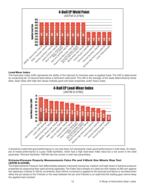

#### **Load-Wear Index**

The load-wear index (LWI) represents the ability of the lubricant to minimize wear at applied loads. The LWI is determined by conducting ten 10-second tests below a lubricant's weld point. The LWI is the average of the loads determined by those tests. Gear lubes with high test values indicate good anti-wear properties under heavy loads.



It should be noted that good performance in one test does not necessarily mean good performance in both tests. An example of mixed performance is Lucas 75/90 Synthetic, which had a high load-wear index value but a low score in the weld parameter. Pennzoil Synthetic 75W-90 had low scores in both test parameters.

#### **Extreme-Pressure Property Measurements Falex Pin and V-Block One Minute Step Test (ASTM D-3233B)**

The Falex Extreme Pressure Test differentiates between lubricants having low, medium and high levels of extreme-pressure properties by measuring their load-carrying capacities. The Falex Test consists of a steel pin that rotates at 290 rpm against two stationary V-blocks in 250-lb. increments. Each 250-lb. increment is applied for 60 seconds and failure is recorded when either the pin seizes to the V-blocks or the wear between the pin and V-blocks is so rapid that the loading gear cannot keep the applied load constant.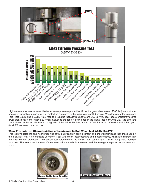



High numerical values represent better extreme-pressure properties. Six of the gear lubes scored 2500 lbf (pounds force) or greater, indicating a higher level of protection compared to the remaining eight lubricants. When looking at the combined Falex Test results and 4-Ball EP Test results, it is noted that all three petroleum SAE 80W-90 gear lubes consistently scored lower than most of the other oils. When evaluating the top six gear lubes in the Falex Test, only AMSOIL, Red Line and Mobil placed in the top six in both categories of the 4-Ball EP Test, ahead of GM, Lucas and Valvoline which had good 4-ball EP load-wear index scores.

#### **Wear Preventative Characteristics of Lubricants (4-Ball Wear Test ASTM D-4172)**

This test evaluates the anti-wear properties of fluid lubricants in sliding contact and under lighter loads than those used in the 4-Ball EP Test. It is conducted using the 4-Ball Anti-Wear Test procedure and measurements, which are different than the 4-Ball EP Test procedure. The standard test parameters of the 4-Ball Wear Test are 75°C (167°F), 40kg load, 1200 rpm for 1 hour. The wear scar diameter of the three stationary balls is measured and the average is reported as the wear scar in mm.



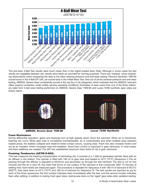

The anti-wear 4-Ball Test results were much closer than in the higher-loaded tests. Note: Although in some cases the test results are negligible between oils, results were taken as recorded for scoring purposes. There are, however, some interesting observations when comparing the data to the other extreme-pressure and anti-wear testing. Pennzoil Synthetic 75W-90 scored worst in the 4-Ball EP LWI, yet scored best in the 4-Ball Wear Test. And out of all the extreme-pressure and anti-wear testing, AMSOIL Severe Gear consistently scored in the top four in all categories, which indicates that the AMSOIL lubricant offers superior protection under widely varying operating conditions. Examples of wear scars from one of the three stationary balls from 4-ball wear testing performed on AMSOIL Severe Gear 75W-90 and Lucas 75/90 synthetic gear lubes are shown below.



**AMSOIL Severe Gear 75W-90 Lucas 75/90 Synthetic**



#### **Foam Resistance**

During differential operation, gears and bearings turn at high speeds which churn the lubricant. When air is introduced, foaming can occur. While gear lube is considered incompressible, air is compressible and when bubbles pass between loaded areas, the bubbles collapse and metal-to-metal contact occurs, causing wear. Foam can also increase friction and act as an insulator, which increases heat and oxidation. Good foam control is important in gear lubricants. In most cases, anti-foam additives are needed. The API has established maximum foam limits for GL-5 gear lubricants.

#### **Foaming Tendencies (ASTM D-892)**

This test measures the foaming characteristics of lubricating oils. It consists of a 1,000-ml graduated cylinder fitted with an air diffuser in the bottom. The cylinder is filled with 190 ml of gear lube and heated to 24°C (75°F) (Sequence I).The air passing through the diffuser is adjusted to 94ml/min and percolates up through the test lubricant. The test is run for five minutes and the air is shut off. Any foam that forms on the surface of the lubricant is then measured. After 10 minutes of settling time, foam levels are measured again. The procedure is repeated for Sequence II with 180 ml of lubricant at 93.5°C (200 $\degree$ F), then back down to 24 $\degree$ C (75 $\degree$ F) and 190 ml of lubricant for Sequence III. The test results are reported as x/x for each of the three sequences; the first number indicates foam immediately after the test, and the second number indicates foam after settling. In addition to testing fresh gear lubes, testing was done on the "aged" gear lubes after oxidation testing.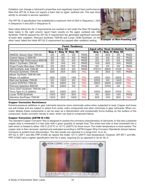Oxidation can change a lubricant's properties and negatively impact foam performance. Note that API GL-5 does not require a foam test on aged, oxidized oils. This was done strictly to simulate in-service operation.

The API GL-5 specification has established a maximum limit of 20/0 in Sequence I, 50/0 in Sequence II and 20/0 in Sequence III.

Gear lubes failing the GL-5 requirements are marked in red under the New Oil heading. Gear lubes in the right column report foam results on the aged, oxidized oils. GM Synthetic 75W-90 passed the API GL-5 requirement but generated significant amounts of foam after oxidation. Pennzoil Synthetic 75W-90 and Lucas 75/90 Synthetic, on the other hand, failed the initial API GL-5 requirement but passed after oxidation testing.



| <b>Foam Tendency</b>              |        |                |          |             |                                          |              |          |             |  |  |  |  |  |
|-----------------------------------|--------|----------------|----------|-------------|------------------------------------------|--------------|----------|-------------|--|--|--|--|--|
|                                   |        | <b>New Oil</b> |          |             | <b>Aged after Heat Oxidation Testing</b> |              |          |             |  |  |  |  |  |
|                                   | Seq. I | Seq. II        | Seq. III |             | Sea. I                                   | $Seq.$ $\Pi$ | Seq. III |             |  |  |  |  |  |
| <b>AMSOIL Severe Gear 75W-90</b>  | 0/0    | 0/0            | 0/0      | <b>PASS</b> | 0/0                                      | 25/0         | 0/0      | <b>PASS</b> |  |  |  |  |  |
| Castrol Hypoy C 80W-90            | 0/0    | 0/0            | 0/0      | <b>PASS</b> | 0/0                                      | 0/0          | 0/0      | <b>PASS</b> |  |  |  |  |  |
| Valvoline High Performance 80W-90 | 0/0    | 0/0            | 0/0      | <b>PASS</b> | 0/0                                      | 0/0          | 0/0      | <b>PASS</b> |  |  |  |  |  |
| Mobil 1 Synthetic 75W-90          | 0/0    | 10/0           | 0/0      | <b>PASS</b> | 10/0                                     | 45/0         | 10/0     | <b>PASS</b> |  |  |  |  |  |
| Royal Purple Max-Gear 75W-90      | 0/0    | 25/0           | 0/0      | <b>PASS</b> | 0/0                                      | 0/0          | 0/0      | <b>PASS</b> |  |  |  |  |  |
| GM Synthetic Axle 75W-90          | 0/0    | 40/0           | 0/0      | <b>PASS</b> | 575/15                                   | 290/0        | 410/0    | <b>FAIL</b> |  |  |  |  |  |
| Pennzoil Synthetic 75W-90         | 50/0   | 25/0           | 35/0     | <b>FAIL</b> | 0/0                                      | 35/0         | 15/0     | <b>PASS</b> |  |  |  |  |  |
| Mopar Synthetic 75W-90 with       |        |                |          |             |                                          |              |          |             |  |  |  |  |  |
| Mopar LS additive                 | 30/0   | 120/0          | 10/0     | <b>FAIL</b> | 445/0                                    | 25/0         | 400/0    | <b>FAIL</b> |  |  |  |  |  |
| Red Line Synthetic 75W-90         | 0/0    | 155/0          | 0/0      | <b>FAIL</b> | 225/0                                    | 0/0          | 145/0    | <b>FAIL</b> |  |  |  |  |  |
| Castrol SYNTEC 75W-90             | 0/0    | 200/0          | 0/0      | <b>FAIL</b> | 295/0                                    | 200/0        | 240/0    | <b>FAIL</b> |  |  |  |  |  |
| Pennzoil Gearplus 80W-90          | 0/0    | 230/0          | 0/0      | <b>FAIL</b> | 0/0                                      | 375/0        | 0/0      | <b>FAIL</b> |  |  |  |  |  |
| Torco SGO Synthetic 75W-90 with   |        |                |          |             |                                          |              |          |             |  |  |  |  |  |
| Torco Type G LS additive          | 25/0   | 230/0          | 20/0     | <b>FAIL</b> | 540/0                                    | 280/0        | 370/0    | <b>FAIL</b> |  |  |  |  |  |
| Lucas 75/90 Synthetic             | 125/0  | 50/0           | 30/0     | <b>FAIL</b> | 0/0                                      | 20/0         | 10/0     | <b>PASS</b> |  |  |  |  |  |
| Valvoline SynPower 75W-90         | 125/0  | 20/0           | 130/0    | <b>FAIL</b> | 30/0                                     | 10/0         | 30/0     | <b>FAIL</b> |  |  |  |  |  |

## **Copper Corrosion Resistance**

Extreme-pressure additives in gear lubricants become more chemically active when subjected to heat. Copper and brass are soft metals and are subject to attack from acids, sulfur compounds and other chemicals in gear lubricants. When corrosion attacks these components it can be seen as a discoloration and occasionally forms buildup on the surface of the component. Acidic corrosion results in wear, which can lead to component failure.

#### **Copper Corrosion (ASTM D-130)**

The standard Copper Corrosion Test is designed to assess the corrosive characteristics of lubricants. In this test a polished copper strip is immersed in a test tube with a given quantity of sample fluid. The entire test tube is then immersed into a bath which is heated to either 100°C (212°F) or 121°C (250°F) for three hours. The hotter temperature is more severe. The copper strip is then removed, washed and evaluated according to ASTM Copper Strip Corrosion Standards (shown below). Corrosion is evident from discoloration. The test results are reported in a range from 1a to 4c.

API GL-5, MT-1 and MIL-PRF-2105E all require the hotter 121°C (250°F) test temperature. However, API MT-1 and MIL-PRF-2105E have a tighter specification limit for a pass, requiring 2a as opposed to 3a for GL-5.

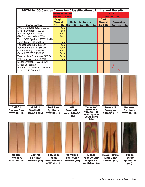| <b>ASTM D-130 Copper Corrosion Classifications, Limits and Results</b> |                                 |                                                                |    |                         |  |              |  |                               |                |                                             |                  |    |
|------------------------------------------------------------------------|---------------------------------|----------------------------------------------------------------|----|-------------------------|--|--------------|--|-------------------------------|----------------|---------------------------------------------|------------------|----|
|                                                                        |                                 | <b>API MT-1&amp; MIL-PRF-2105E</b><br>(2a max @ 121 °C, 3 hrs) |    |                         |  |              |  |                               |                | API GL-5<br><b>(3a max @ 121 °C, 3 hrs)</b> |                  |    |
|                                                                        | <b>Slight</b><br><b>Tarnish</b> |                                                                |    | <b>Moderate Tarnish</b> |  |              |  | <b>Dark</b><br><b>Tarnish</b> |                |                                             | <b>Corrosion</b> |    |
| <b>Classification</b>                                                  | 1a                              | 1 <sub>b</sub>                                                 | 2a | 2b                      |  | $2c$ 2d $2e$ |  | 3a                            | 3 <sub>b</sub> | 4a                                          | 4 <sub>b</sub>   | 4c |
| <b>AMSOIL Severe Gear 75W-90</b>                                       |                                 | Pass                                                           |    |                         |  |              |  |                               |                |                                             |                  |    |
| Mobil 1 Synthetic 75W-90                                               |                                 | <b>Pass</b>                                                    |    |                         |  |              |  |                               |                |                                             |                  |    |
| Red Line Synthetic 5W-90                                               |                                 | <b>Pass</b>                                                    |    |                         |  |              |  |                               |                |                                             |                  |    |
| GM Synthetic Axle 75W-90                                               |                                 | <b>Pass</b>                                                    |    |                         |  |              |  |                               |                |                                             |                  |    |
| Torco SGO Synthetic 75W-90 with                                        |                                 |                                                                |    |                         |  |              |  |                               |                |                                             |                  |    |
| Torco Type G LS additive                                               |                                 | <b>Pass</b>                                                    |    |                         |  |              |  |                               |                |                                             |                  |    |
| Pennzoil Gearplus 80W-90                                               |                                 | <b>Pass</b>                                                    |    |                         |  |              |  |                               |                |                                             |                  |    |
| Pennzoil Synthetic 75W-90                                              |                                 | <b>Pass</b>                                                    |    |                         |  |              |  |                               |                |                                             |                  |    |
| Castrol Hypoy C 80W-90                                                 |                                 | <b>Pass</b>                                                    |    |                         |  |              |  |                               |                |                                             |                  |    |
| Castrol SYNTEC 75W-90                                                  |                                 | <b>Pass</b>                                                    |    |                         |  |              |  |                               |                |                                             |                  |    |
| Valvoline High Performance 80W-90                                      |                                 | <b>Pass</b>                                                    |    |                         |  |              |  |                               |                |                                             |                  |    |
| Valvoline SynPower 75W-90                                              |                                 | <b>Pass</b>                                                    |    |                         |  |              |  |                               |                |                                             |                  |    |
| Mopar Synthetic 75W-90 with                                            |                                 |                                                                |    |                         |  |              |  |                               |                |                                             |                  |    |
| Mopar LS additive                                                      |                                 |                                                                |    |                         |  |              |  |                               |                | Fail                                        |                  |    |
| Royal Purple Max-Gear 75W-90                                           |                                 |                                                                |    |                         |  |              |  |                               |                | Fail                                        |                  |    |
| Lucas 75/90 Synthetic                                                  |                                 |                                                                |    |                         |  |              |  |                               |                |                                             | Fail             |    |



**Severe Gear 75W-90 (1b)**



**Mobil 1 Synthetic 75W-90 (1b)**



**Synthetic 75W-90 (1b) Axle 75W-90 GM Synthetic (1b)**







**Pennzoil Gearplus 80W-90 (1b)**

**Pennzoil Synthetic 75W-90 (1b)**



**Castrol Hypoy C 80W-90 (1b)**



**75W-90 (1b)**

**Valvoline High 80W-90 (1b)**



**Performance 75W-90 (1b) Valvoline SynPower**



**Synthetic 75W-90 with Torco Type G LS Additive (1b)**

**Mopar 75W-90 with Mopar LS Additive (4a)**



**Max-Gear 75W-90 (4a)**



**Lucas 75/90 Synthetic (4b)**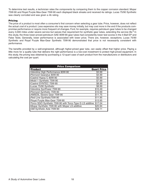To determine test results, a technician rates the components by comparing them to the copper corrosion standard. Mopar 75W-90 and Royal Purple Max-Gear 75W-90 each displayed black streaks and received 4a ratings. Lucas 75/90 Synthetic was clearly corroded and was given a 4b rating.

#### **Pricing**

The price of a product is most often a consumer's first concern when selecting a gear lube. Price, however, does not reflect the actual cost of a product. Less expensive oils may save money initially, but may cost more in the end if the products compromise performance or require more frequent oil changes. Ford, for example, requires petroleum gear lubes to be changed every 3,000 miles under severe service but waives that requirement for synthetic gear lubes, extending the service life.<sup>6</sup> In this study, the three lower-priced petroleum SAE 80W-90 gear lubes had consistently lower test scores in the 4-Ball EP and Falex Tests. Generally, lower performance is associated with lower price. There are, however, exceptions. Lucas 75/90 Synthetic and Royal Purple Max-Gear Synthetic 75W-90 demonstrated that price is not necessarily consistent with performance.

The benefits provided by a well-engineered, although higher-priced gear lube, can easily offset that higher price. Paying a little more for a quality lube that delivers the right performance is a low-cost investment to protect high-priced equipment. In this study, the pricing was obtained by purchasing a 12-quart case of each product from the manufacturers or distributors and calculating the cost per quart.

| <b>Price Comparison</b>                                  |                    |
|----------------------------------------------------------|--------------------|
| <b>Product</b>                                           | <b>Quart Price</b> |
| Valvoline High Performance 80W-90                        | \$3.99             |
| Pennzoil Gearplus 80W-90                                 | \$4.99             |
| Castrol Hypoy C 80W-90                                   | \$5.99             |
| Mobil 1 Synthetic 75W-90                                 | \$7.99             |
| Castrol SYNTEC 75W-90                                    | \$8.99             |
| Lucas 75/90 Synthetic                                    | \$8.99             |
| Valvoline SynPower 75W-90                                | \$10.49            |
| Pennzoil Synthetic 75W-90                                | \$10.99            |
| AMSOIL Severe Gear 75W-90                                | \$11.75            |
| Red Line Synthetic75W-90                                 | \$11.95            |
| Royal Purple Max-Gear 75W-90                             | \$13.95            |
| Torco SGO Synthetic 75W-90 with Torco Type G LS additive | \$17.04            |
| Mopar Synthetic 75W-90 with Mopar LS additive            | \$20.94            |
| GM Synthetic Axle 75W-90                                 | \$28.11            |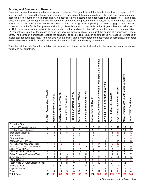#### **Scoring and Summary of Results**

Each gear lubricant was assigned a score for each test result. The gear lube with the best test result was assigned a 1. The gear lube with the second best result was assigned a 2, and so on. If two or more oils tied, the next best score was ranked according to the number of oils preceding it. In pass/fail testing, passing gear lubes were given scores of 1. Failing gear lubes were given scores dependent on the number of gear lubes that passed. For example, of the 14 gear lubes tested, 12 passed the Channel Point Test and received scores of 1. With 12 gear lubes passing, the two failing gear lubes received scores of 13. In the Solids Precipitation evaluation, differentiation was immeasable in the 12 gear lubes with values of .05 ml. Differentiation was measurable in those gear lubes that scored greater than .05 ml, and they received scores of 13 and 14 respectively. Note that the results of each test have not been weighted to suggest the degree of significance it represents. The degree of significance is left to the consumer to decide. The results in all categories were added to produce an overall total for each gear lube. The gear lube with the lowest total demonstrated the best overall performance. Red scores did not meet either API GL-5 performance requirements or SAE J306 viscosity requirements.

The filter patch results from the oxidation test were not considered in the final evaluation because the measurement was visual and not quantified.

|                                                         | AMSOIL Severe Gear 75W-90 | Mobil 1 Synthetic 75W-90 | GM Synthetic Axle 75W-90 | Castrol SYNTEC 75W-90 | Red Line Synthetic 75W-90 | Pennzoil Synthetic 75W-90 | Valvoline SynPower 75W-90 | Castrol Hypoy C 80W-90 | LS Additive<br>Torco SGO Synthetic 75W-90 with Torco Type G | 06-M08<br>Performance<br>Valvoline High | 06-M08<br>Gearplus<br><b>Pennzoil</b> | Royal Purple Max-Gear 75W-90 | Mopar Synthetic 75W-90 with Mopar LS additive | Lucas 75/90 Synthetic |
|---------------------------------------------------------|---------------------------|--------------------------|--------------------------|-----------------------|---------------------------|---------------------------|---------------------------|------------------------|-------------------------------------------------------------|-----------------------------------------|---------------------------------------|------------------------------|-----------------------------------------------|-----------------------|
| <b>Oxidation Test</b>                                   | $\overline{4}$            | 6                        | 5                        | 9                     | 14                        | 1                         | $\overline{7}$            | 12                     | 11                                                          | 8                                       |                                       | 10                           | 13                                            | $\sqrt{2}$            |
| Percent Viscosity Increase<br>Solids Precipitation (ml) | $\overline{1}$            | $\overline{1}$           | $\overline{1}$           | $\overline{1}$        | $\overline{\mathbf{1}}$   | 1                         | $\overline{1}$            | $\overline{1}$         | 1                                                           | $\overline{1}$                          | 3<br>$\overline{1}$                   | 1                            | $\overline{13}$                               | $\overline{14}$       |
| <b>Brookfield Viscosity</b>                             | $\overline{2}$            | $\overline{4}$           | $\overline{5}$           | $\overline{8}$        | $\overline{9}$            | $\overline{\overline{3}}$ | $\overline{7}$            | $\overline{13}$        | 1                                                           | $\overline{14}$                         | $\overline{11}$                       | 10                           | $\overline{6}$                                | $\overline{12}$       |
| Pour Point                                              | $\overline{2}$            | $\overline{8}$           | $\overline{2}$           | $\overline{1}$        | $\overline{6}$            | $\overline{9}$            | $\overline{7}$            | $\overline{14}$        | $\overline{2}$                                              | $\overline{13}$                         | $\overline{12}$                       | 10                           | $\overline{2}$                                | $\overline{11}$       |
| <b>Channel Point</b>                                    | $\overline{1}$            | $\overline{1}$           | $\overline{1}$           | $\overline{1}$        | $\overline{1}$            | 1                         | $\overline{1}$            | $\overline{1}$         | $\overline{1}$                                              | $\overline{13}$                         | 1                                     | $\mathbf{1}$                 | $\overline{1}$                                | 13                    |
| <b>SAE J306 Inititial Viscosity</b>                     | $\mathbf{1}$              | 1                        | $\overline{1}$           | $\overline{1}$        | $\overline{1}$            | 1                         | $\mathbf{1}$              | $\mathbf{1}$           | $\mathbf{1}$                                                | 1                                       | 1                                     | $\overline{13}$              | $\mathbf{1}$                                  | $\overline{14}$       |
| Viscosity After KRL Shear Test                          | $\overline{1}$            | $\overline{9}$           | $\overline{12}$          | $\overline{1}$        | $\overline{1}$            | $\overline{8}$            | $\overline{1}$            | $\overline{1}$         | $\overline{14}$                                             | 1                                       | 10                                    | 13                           | $\overline{11}$                               | $\overline{1}$        |
| <b>%Viscosity Decrease from Shear Test</b>              | $\overline{2}$            | 5                        | $\overline{11}$          | $\overline{7}$        | $\overline{3}$            | 10                        | 9                         | $\overline{1}$         | $\overline{13}$                                             | 3                                       | 6                                     | $\overline{14}$              | 8                                             | $\overline{12}$       |
| 4-Ball EP Weld Point                                    | $\mathbf{1}$              | $\mathbf{1}$             | 1                        | $\overline{1}$        | $\overline{1}$            | $\overline{10}$           | $\mathbf{1}$              | $\overline{10}$        | $\mathbf{1}$                                                | $\overline{10}$                         | $\overline{10}$                       | $\mathbf{1}$                 | $\mathbf{1}$                                  | 10                    |
| 4-Ball EP Load-Wear Index                               | $\overline{4}$            | $\overline{5}$           | $\overline{1}$           | $\overline{7}$        | $\overline{6}$            | $\overline{14}$           | $\overline{3}$            | $\overline{12}$        | $\overline{9}$                                              | $\overline{11}$                         | $\overline{13}$                       | $\overline{10}$              | $\overline{8}$                                | $\overline{2}$        |
| <b>Falex Extreme Pressure Test</b>                      | $\overline{3}$            | $\overline{3}$           | $\overline{7}$           | $\overline{3}$        | $\overline{1}$            | $\overline{9}$            | $\overline{10}$           | $\overline{11}$        | $\overline{2}$                                              | $\overline{11}$                         | $\overline{11}$                       | $\overline{11}$              | $\overline{3}$                                | $\overline{7}$        |
| 4-Ball Wear Test                                        | $\overline{2}$            | $\overline{9}$           | $\overline{4}$           | $\overline{12}$       | $\overline{8}$            | $\overline{1}$            | $\overline{11}$           | $\overline{6}$         | $\overline{13}$                                             | 7                                       | 4                                     | $\overline{3}$               | $\overline{10}$                               | $\overline{14}$       |
| Foam New Oil                                            | $\overline{1}$            | $\overline{1}$           | $\overline{1}$           | $\overline{11}$       | 9                         | $\overline{7}$            | 14                        | $\overline{1}$         | 13                                                          | $\mathbf{1}$                            | 12                                    | $\overline{1}$               | $\overline{8}$                                | 10                    |
| Foam Aged Oil After Oxidation Test                      | $\overline{1}$            | $\overline{1}$           | 14                       | $\overline{11}$       | 10                        | $\overline{1}$            | $\overline{8}$            | $\overline{1}$         | 13                                                          | $\overline{1}$                          | $\overline{9}$                        | $\mathbf{1}$                 | $\overline{12}$                               | $\overline{1}$        |
| <b>Viscosity Index</b>                                  | $\overline{2}$            | $\overline{11}$          | $\overline{5}$           | 7                     | $\overline{5}$            | 7                         | 10                        | $\overline{14}$        | 1                                                           | $\overline{13}$                         | $\overline{12}$                       | $\overline{4}$               | $\overline{7}$                                | $\overline{2}$        |
| Copper Corrosion                                        | $\mathbf{1}$              | 1                        | $\mathbf{1}$             | 1                     | $\overline{1}$            | 1                         | $\mathbf{1}$              | 1                      | 1                                                           | $\mathbf{1}$                            | 1                                     | 12                           | 12                                            | 14                    |
| Price                                                   | $\overline{9}$            | $\overline{4}$           | $\overline{14}$          | $\overline{5}$        | 10                        | $\overline{8}$            | $\overline{7}$            | $\overline{3}$         | $\overline{12}$                                             | $\mathbf{1}$                            | $\overline{2}$                        | $\overline{11}$              | $\overline{13}$                               | $\overline{6}$        |
| <b>Total Score</b>                                      | $\overline{38}$           | $\overline{71}$          | 86                       | $\overline{87}$       | 87                        | $\overline{92}$           | 99                        | $\overline{103}$       | 109                                                         | 110                                     | 119                                   | 126                          | 129                                           | 145                   |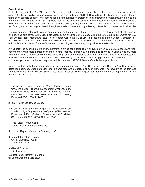#### **Conclusion**

As the testing indicates, AMSOIL Severe Gear ranked highest among all gear lubes tested. It was the only gear lube to score a 4 or better in all performance categories.The high ranking of AMSOIL Severe Gear clearly points to a well-balanced formulation capable of delivering effective, long-lasting lubrication protection to all differential components. Most notable is the superior performance of AMSOIL Severe Gear in the critical areas of extreme-pressure protection and viscosity and oxidation stability. Based on the performance testing, the slightly higher than average price of AMSOIL Severe Gear would be offset by the cost savings achieved through reduced maintenance, longer lasting differentials and extended lubricant life.

Some gear lubes tested well in some areas but scored low marks in others. Torco SGO Synthetic scored highest in viscosity index and cold-temperature Brookfield viscosity but sheared out of grade, failing the SAE J306 requirements for SAE 75W-90 gear lubes. Mopar and Royal Purple scored well in the 4-Ball EP Weld Test, but failed the Copper Corrosion Test and GM, with a good 4-ball EP score, foamed badly after oxidation. This would indicate that too much emphasis in one area of formulation can detract from performance in others. A gear lube is only as good as its weakest link.

A well-balanced gear lube formulation, therefore, is critical for differentials in all types of vehicles, both standard and highperformance. With more horsepower, more towing capacity, higher hauling limits and changes in vehicle design, more stress than ever is placed on differential gears. High-quality lubrication is essential, and awareness is now necessary to ensure maximum differential performance and to avoid costly repairs. When purchasing gear lube the decision is left to the consumer, yet based on the facts reported in this document, AMSOIL Severe Gear is the logical choice.

Note: To further verify the findings, additional testing was performed on AMSOIL Severe Gear. The L-37 Axle Rig Test evaluates load-carrying, wear protection and extreme-pressure properties of gear lubricants. The severity of the test was increased to challenge AMSOIL Severe Gear to the absolute limits in gear lube performance. See Appendix C for test parameters and results.

- 1. Richardson, Robert; Marsic, Vera; Tarrant, Simon: "Driveline Fluids - Thermal Management Challenges and Impacts on Base Oil and Additive Technologies," National Petrochemical & Refiners Association Annual Meeting, Paper AM-05-32, March, 2005.
- 2. 2007 Trailer Life Towing Guide.
- 3. O'Conner, B.M.; Schenkenberger, C.: "The Effect of Heavy Loads on Light Duty Vehicle Axle Operating Temperature," Powertrain & Fluid Systems Conference and Exhibition, SAE Paper #2005-01-3893, October, 2005.
- 4. Tocci, Lisa: "Torque Spark." Lubes 'N' Greases, September 2007.
- 5. Mitchell Repair Information Company, LLC.
- 6. Motor Information Systems Check Chart 2007 Quick Lubrication Guide.

Additional Sources: Lubrizol website.

Lubrizol Ready Reference Manual for Lubricants and Fuels, 2005.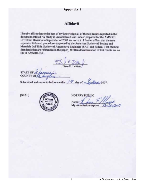## **Appendix 1**

## **Affidavit**

I hereby affirm that to the best of my knowledge all of the test results reported in the document entitled "A Study in Automotive Gear Lubes" prepared for the AMSOIL Drivetrain Division in September of 2007 are correct. I further affirm that the tests requested followed procedures approved by the American Society of Testing and Materials (ASTM), Society of Automotive Engineers (SAE) and Federal Test Method Standards that are referenced in the paper. Written documentation of test results are on file at AMSOIL INC.

Dave E. Leitten

**STATE OF COUNTY OF** 

Subscribed and sworn to before me this  $\sqrt{7}$  day of  $\Diamond$ 

[SEAL]



**NOTARY PUBLIC** Name: My commission expires:

Starty 2007.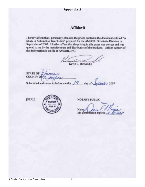## **Appendix 2**

# **Affidavit**

I hereby affirm that I personally obtained the prices quoted in the document entitled "A Study in Automotive Gear Lubes" prepared for the AMSOIL Drivetrain Division in September of 2007. I further affirm that the pricing in this paper was correct and was quoted to me by the manufacturers and distributors of the products. Written support of this information is on file at AMSOIL INC.

Kevin L. Dinwiddie

**STATE OF COUNTY OF** timber 2007 day of

Subscribed and sworn to before me this  $\sqrt{9}$ 

[SEAL]



**NOTARY PUBLIC** 

Name: My commission expires:  $\sim$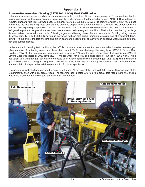## **Appendix 3**

#### **Extreme-Pressure Gear Testing (ASTM D-6121-06) Final Verification**

Laboratory extreme-pressure and anti-wear tests are reliable predictors of in-service performance. To demonstrate that the testing conducted for this study accurately predicted the performance of the top-rated gear lube, AMSOIL Severe Gear, an industry-standard Axle Rig Test was used. Commonly referred to as the L-37 Axle Rig Test, the ASTM D-6121-06 is used to evaluate the load-carrying, wear and extreme-pressure properties of a gear lubricant in a hypoid axle under conditions of low-speed, high-torque operation. The L-37 Test consists of a Dana Model 60 with 5.86-to-1 ratio gears connected to a V-8 gasoline-powered engine with a transmission capable of maintaining test conditions. The load is controlled by two large dynamometers connected to each axle. Following a gear conditioning phase, the test is conducted for 24 grueling hours at 80 wheel rpm, 1740 lbf-ft (2359 N-m) torque per wheel with an axle sump temperature maintained at a constant 135°C (275°F). At the end of the test, the ring and pinion gears are inspected for abrasive wear, adhesive wear, plastic deformation and surface fatigue.

Under standard operating test conditions, the L-37 is considered a severe test that accurately discriminates between gear lubes capable of protecting gears and those that cannot. To further challenge the integrity of AMSOIL Severe Gear Synthetic 75W-90, the test severity was increased by adding 20% greater load. Under these test conditions, AMSOIL Severe Gear was tested at 2088 lbf-ft (2831 N-m) per wheel for a total combined load of 4176 lbf-ft (5662 N-m). This is equivalent to a Duramax 6.6 liter engine connected to an Allison transmission in second gear (1.81 to 1) with a differential gear ratio of 3.55 to 1, going up-hill, pulling a loaded trailer heavy enough for the engine to develop and maintain a maximum 650 ft-lb of torque under full-throttle operation for 24 straight hours.

The gears are evaluated and assigned a pass or fail rating. At the end of the test, AMSOIL Severe Gear passed all the requirements, even with 20% greater load. The following gear photos are from the actual test rating. Note the original machining marks on the pinion gear are still intact after the test.



23 A Study of Automotive Gear Lubes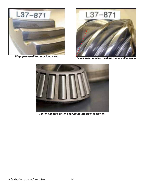



**Ring gear exhibits very low wear. Pinion gear - original machine marks still present.**



**Pinion tapered roller bearing in like-new condition.**